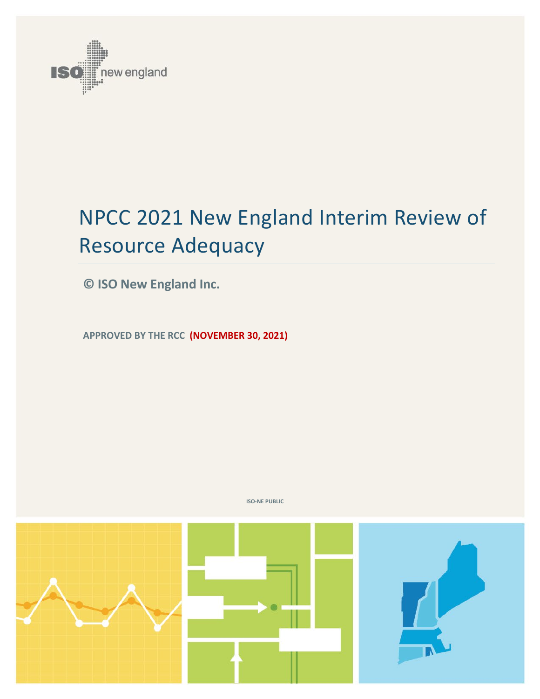

# NPCC 2021 New England Interim Review of Resource Adequacy

**© ISO New England Inc.**

**APPROVED BY THE RCC (NOVEMBER 30, 2021)**



**ISO-NE PUBLIC**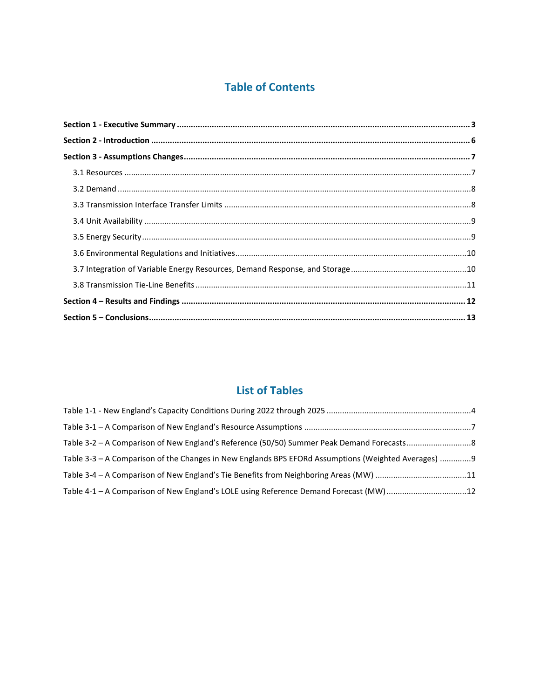### **Table of Contents**

### **List of Tables**

| Table 3-3 – A Comparison of the Changes in New Englands BPS EFORd Assumptions (Weighted Averages) 9 |  |
|-----------------------------------------------------------------------------------------------------|--|
| Table 3-4 - A Comparison of New England's Tie Benefits from Neighboring Areas (MW) 11               |  |
| Table 4-1 - A Comparison of New England's LOLE using Reference Demand Forecast (MW)12               |  |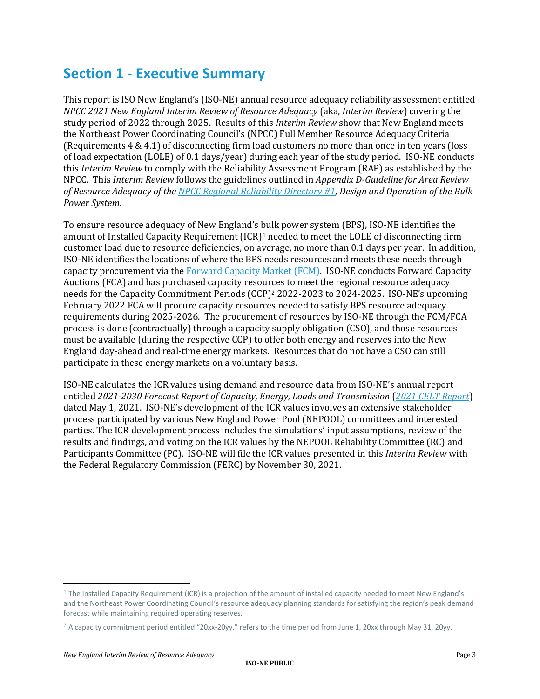### **Section 1 - Executive Summary**

This report is ISO New England's (ISO-NE) annual resource adequacy reliability assessment entitled *NPCC 2021 New England Interim Review of Resource Adequacy* (aka, *Interim Review*) covering the study period of 2022 through 2025. Results of this *Interim Review* show that New England meets the Northeast Power Coordinating Council's (NPCC) Full Member Resource Adequacy Criteria (Requirements 4 & 4.1) of disconnecting firm load customers no more than once in ten years (loss of load expectation (LOLE) of 0.1 days/year) during each year of the study period. ISO-NE conducts this *Interim Review* to comply with the Reliability Assessment Program (RAP) as established by the NPCC. This *Interim Review* follows the guidelines outlined in *Appendix D-Guideline for Area Review of Resource Adequacy of the [NPCC Regional Reliability Directory #1,](https://www.npcc.org/content/docs/public/program-areas/standards-and-criteria/regional-criteria/directories/directory-01-design-and-operation-of-the-bulk-power-system.pdf) Design and Operation of the Bulk Power System*.

To ensure resource adequacy of New England's bulk power system (BPS), ISO-NE identifies the amount of Installed Capacity Requirement (ICR)<sup>[1](#page-2-0)</sup> needed to meet the LOLE of disconnecting firm customer load due to resource deficiencies, on average, no more than 0.1 days per year. In addition, ISO-NE identifies the locations of where the BPS needs resources and meets these needs through capacity procurement via th[e Forward Capacity Market \(FCM\).](https://www.iso-ne.com/markets-operations/markets/forward-capacity-market) ISO-NE conducts Forward Capacity Auctions (FCA) and has purchased capacity resources to meet the regional resource adequacy needs for the Capacity Commitment Periods (CCP)<sup>[2](#page-2-1)</sup> 2022-2023 to 2024-2025. ISO-NE's upcoming February 2022 FCA will procure capacity resources needed to satisfy BPS resource adequacy requirements during 2025-2026. The procurement of resources by ISO-NE through the FCM/FCA process is done (contractually) through a capacity supply obligation (CSO), and those resources must be available (during the respective CCP) to offer both energy and reserves into the New England day-ahead and real-time energy markets. Resources that do not have a CSO can still participate in these energy markets on a voluntary basis.

ISO-NE calculates the ICR values using demand and resource data from ISO-NE's annual report entitled *[2021-2030 Forecast Report of Capacity, Energy, Loads and Transmission](https://www.iso-ne.com/static-assets/documents/2021/04/2021_celt_report.xlsx)* (*[2021 CELT](https://www.iso-ne.com/static-assets/documents/2021/04/2021_celt_report.xlsx) Report*) dated May 1, 2021. ISO-NE's development of the ICR values involves an extensive stakeholder process participated by various New England Power Pool (NEPOOL) committees and interested parties. The ICR development process includes the simulations' input assumptions, review of the results and findings, and voting on the ICR values by the NEPOOL Reliability Committee (RC) and Participants Committee (PC). ISO-NE will file the ICR values presented in this *Interim Review* with the Federal Regulatory Commission (FERC) by November 30, 2021.

<span id="page-2-0"></span> $1$  The Installed Capacity Requirement (ICR) is a projection of the amount of installed capacity needed to meet New England's and the Northeast Power Coordinating Council's resource adequacy planning standards for satisfying the region's peak demand forecast while maintaining required operating reserves.

<span id="page-2-1"></span><sup>&</sup>lt;sup>2</sup> A capacity commitment period entitled "20xx-20yy," refers to the time period from June 1, 20xx through May 31, 20yy.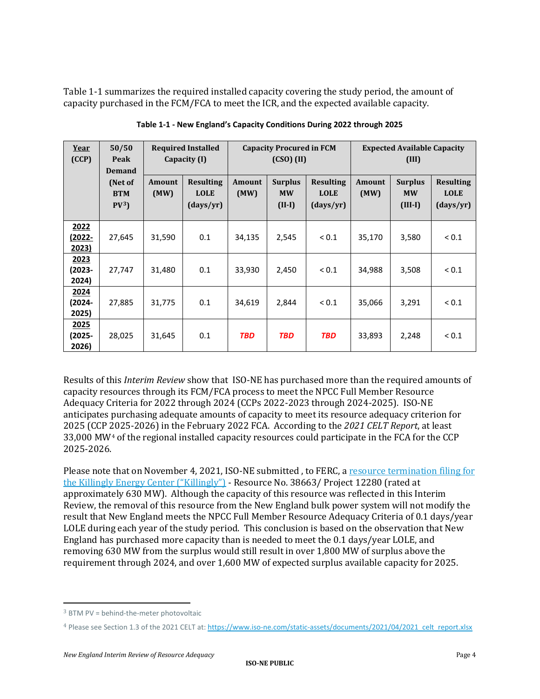Table 1-1 summarizes the required installed capacity covering the study period, the amount of capacity purchased in the FCM/FCA to meet the ICR, and the expected available capacity.

| Year<br>(CCP)           | 50/50<br>Peak<br><b>Demand</b>           |                       | <b>Required Installed</b><br>Capacity (I)    | <b>Capacity Procured in FCM</b><br>$(CSO)$ (II) |                                         |                                              | <b>Expected Available Capacity</b><br>(III) |                                          |                                              |
|-------------------------|------------------------------------------|-----------------------|----------------------------------------------|-------------------------------------------------|-----------------------------------------|----------------------------------------------|---------------------------------------------|------------------------------------------|----------------------------------------------|
|                         | (Net of<br><b>BTM</b><br>PV <sup>3</sup> | <b>Amount</b><br>(MW) | <b>Resulting</b><br><b>LOLE</b><br>(days/yr) | Amount<br>(MW)                                  | <b>Surplus</b><br><b>MW</b><br>$(II-I)$ | <b>Resulting</b><br><b>LOLE</b><br>(days/yr) | <b>Amount</b><br>(MW)                       | <b>Surplus</b><br><b>MW</b><br>$(III-I)$ | <b>Resulting</b><br><b>LOLE</b><br>(days/yr) |
| 2022<br>(2022-<br>2023) | 27,645                                   | 31,590                | 0.1                                          | 34,135                                          | 2,545                                   | ${}_{0.1}$                                   | 35,170                                      | 3,580                                    | ${}_{0.1}$                                   |
| 2023<br>(2023-<br>2024) | 27,747                                   | 31,480                | 0.1                                          | 33,930                                          | 2,450                                   | ${}_{0.1}$                                   | 34,988                                      | 3,508                                    | ${}_{0.1}$                                   |
| 2024<br>(2024-<br>2025) | 27,885                                   | 31,775                | 0.1                                          | 34,619                                          | 2,844                                   | ${}_{0.1}$                                   | 35,066                                      | 3,291                                    | ${}_{0.1}$                                   |
| 2025<br>(2025-<br>2026) | 28,025                                   | 31,645                | 0.1                                          | <b>TBD</b>                                      | <b>TBD</b>                              | <b>TBD</b>                                   | 33,893                                      | 2,248                                    | ${}_{0.1}$                                   |

**Table 1-1 - New England's Capacity Conditions During 2022 through 2025** 

Results of this *Interim Review* show that ISO-NE has purchased more than the required amounts of capacity resources through its FCM/FCA process to meet the NPCC Full Member Resource Adequacy Criteria for 2022 through 2024 (CCPs 2022-2023 through 2024-2025). ISO-NE anticipates purchasing adequate amounts of capacity to meet its resource adequacy criterion for 2025 (CCP 2025-2026) in the February 2022 FCA. According to the *2021 CELT Report*, at least 33,000 MW[4](#page-3-1) of the regional installed capacity resources could participate in the FCA for the CCP 2025-2026.

Please note that on November 4, 2021, ISO-NE submitted, to FERC, a resource termination filing for [the Killingly Energy Center \("Killingly"\)](https://www.iso-ne.com/static-assets/documents/2021/11/public_resource_termination_killingly.pdf) - Resource No. 38663/ Project 12280 (rated at approximately 630 MW). Although the capacity of this resource was reflected in this Interim Review, the removal of this resource from the New England bulk power system will not modify the result that New England meets the NPCC Full Member Resource Adequacy Criteria of 0.1 days/year LOLE during each year of the study period. This conclusion is based on the observation that New England has purchased more capacity than is needed to meet the 0.1 days/year LOLE, and removing 630 MW from the surplus would still result in over 1,800 MW of surplus above the requirement through 2024, and over 1,600 MW of expected surplus available capacity for 2025.

<span id="page-3-0"></span> $3$  BTM PV = behind-the-meter photovoltaic

<span id="page-3-1"></span><sup>4</sup> Please see Section 1.3 of the 2021 CELT at[: https://www.iso-ne.com/static-assets/documents/2021/04/2021\\_celt\\_report.xlsx](https://www.iso-ne.com/static-assets/documents/2021/04/2021_celt_report.xlsx)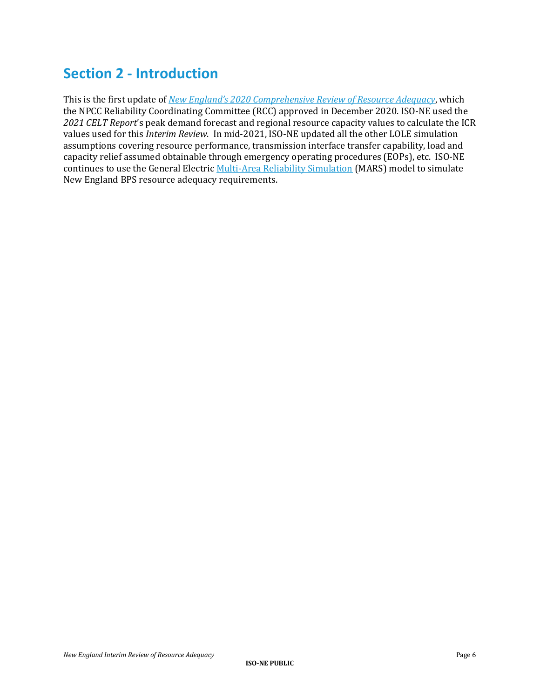## **Section 2 - Introduction**

This is the first update of *New England's 2020 [Comprehensive Review of Resource Adequacy](https://www.npcc.org/content/docs/public/library/resource-adequacy/2020/2020-12-01-new-england-comprehensive-review.pdf)*, which the NPCC Reliability Coordinating Committee (RCC) approved in December 2020. ISO-NE used the *2021 CELT Report*'s peak demand forecast and regional resource capacity values to calculate the ICR values used for this *Interim Review*. In mid-2021, ISO-NE updated all the other LOLE simulation assumptions covering resource performance, transmission interface transfer capability, load and capacity relief assumed obtainable through emergency operating procedures (EOPs), etc. ISO-NE continues to use the General Electri[c Multi-Area Reliability Simulation](https://www.geenergyconsulting.com/content/dam/Energy_Consulting/global/en_US/pdfs/GE_MARS_Reliability_Modeling_Software_2018_1.pdf) (MARS) model to simulate New England BPS resource adequacy requirements.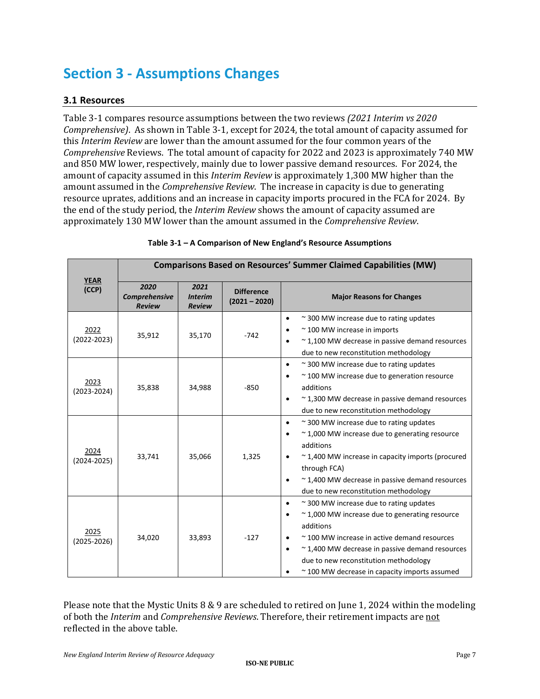# **Section 3 - Assumptions Changes**

#### **3.1 Resources**

Table 3-1 compares resource assumptions between the two reviews *(2021 Interim vs 2020 Comprehensive)*. As shown in Table 3-1, except for 2024, the total amount of capacity assumed for this *Interim Review* are lower than the amount assumed for the four common years of the *Comprehensive* Reviews. The total amount of capacity for 2022 and 2023 is approximately 740 MW and 850 MW lower, respectively, mainly due to lower passive demand resources. For 2024, the amount of capacity assumed in this *Interim Review* is approximately 1,300 MW higher than the amount assumed in the *Comprehensive Review*. The increase in capacity is due to generating resource uprates, additions and an increase in capacity imports procured in the FCA for 2024. By the end of the study period, the *Interim Review* shows the amount of capacity assumed are approximately 130 MW lower than the amount assumed in the *Comprehensive Review*.

|                         | <b>Comparisons Based on Resources' Summer Claimed Capabilities (MW)</b> |                                         |                                      |                                                                                                                                                                                                                                                                                                                                                    |  |  |
|-------------------------|-------------------------------------------------------------------------|-----------------------------------------|--------------------------------------|----------------------------------------------------------------------------------------------------------------------------------------------------------------------------------------------------------------------------------------------------------------------------------------------------------------------------------------------------|--|--|
| <b>YEAR</b><br>(CCP)    | 2020<br>Comprehensive<br><b>Review</b>                                  | 2021<br><b>Interim</b><br><b>Review</b> | <b>Difference</b><br>$(2021 - 2020)$ | <b>Major Reasons for Changes</b>                                                                                                                                                                                                                                                                                                                   |  |  |
| 2022<br>$(2022 - 2023)$ | 35,912                                                                  | 35,170                                  | $-742$                               | ~300 MW increase due to rating updates<br>$\bullet$<br>$\sim$ 100 MW increase in imports<br>$\approx$ 1,100 MW decrease in passive demand resources<br>$\bullet$<br>due to new reconstitution methodology                                                                                                                                          |  |  |
| 2023<br>$(2023 - 2024)$ | 35,838                                                                  | 34,988                                  | $-850$                               | ~300 MW increase due to rating updates<br>$\bullet$<br>~100 MW increase due to generation resource<br>$\bullet$<br>additions<br>$\approx$ 1,300 MW decrease in passive demand resources<br>$\bullet$<br>due to new reconstitution methodology                                                                                                      |  |  |
| 2024<br>$(2024 - 2025)$ | 33,741                                                                  | 35,066                                  | 1,325                                | $\sim$ 300 MW increase due to rating updates<br>$\bullet$<br>$\sim$ 1,000 MW increase due to generating resource<br>$\bullet$<br>additions<br>$\sim$ 1,400 MW increase in capacity imports (procured<br>$\bullet$<br>through FCA)<br>$\approx$ 1,400 MW decrease in passive demand resources<br>$\bullet$<br>due to new reconstitution methodology |  |  |
| 2025<br>$(2025 - 2026)$ | 34,020                                                                  | 33,893                                  | $-127$                               | ~300 MW increase due to rating updates<br>$\bullet$<br>~1,000 MW increase due to generating resource<br>$\bullet$<br>additions<br>~100 MW increase in active demand resources<br>$\bullet$<br>~1,400 MW decrease in passive demand resources<br>$\bullet$<br>due to new reconstitution methodology<br>~100 MW decrease in capacity imports assumed |  |  |

#### **Table 3-1 – A Comparison of New England's Resource Assumptions**

Please note that the Mystic Units 8 & 9 are scheduled to retired on June 1, 2024 within the modeling of both the *Interim* and *Comprehensive Reviews*. Therefore, their retirement impacts are not reflected in the above table.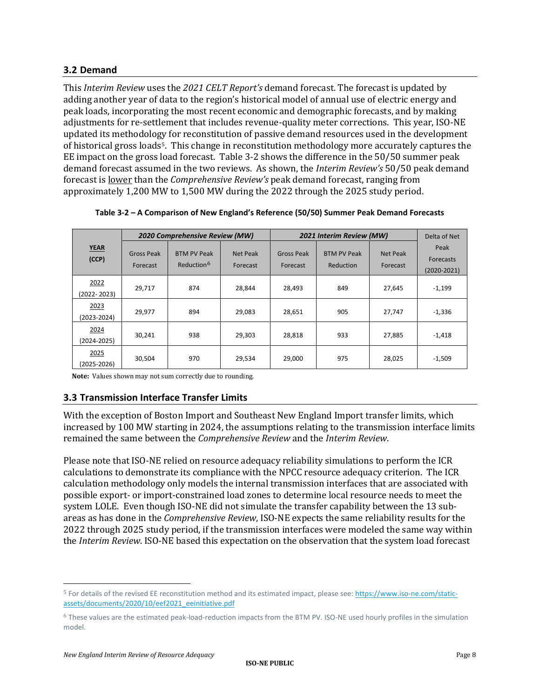#### **3.2 Demand**

This *Interim Review* uses the *2021 CELT Report's* demand forecast. The forecast is updated by adding another year of data to the region's historical model of annual use of electric energy and peak loads, incorporating the most recent economic and demographic forecasts, and by making adjustments for re-settlement that includes revenue-quality meter corrections. This year, ISO-NE updated its methodology for reconstitution of passive demand resources used in the development of historical gross load[s5](#page-7-0). This change in reconstitution methodology more accurately captures the EE impact on the gross load forecast. Table 3-2 shows the difference in the 50/50 summer peak demand forecast assumed in the two reviews. As shown, the *Interim Review's* 50/50 peak demand forecast is lower than the *Comprehensive Review's* peak demand forecast, ranging from approximately 1,200 MW to 1,500 MW during the 2022 through the 2025 study period.

|                         | 2020 Comprehensive Review (MW) |                                              |                      | 2021 Interim Review (MW) | Delta of Net                    |                             |                                      |
|-------------------------|--------------------------------|----------------------------------------------|----------------------|--------------------------|---------------------------------|-----------------------------|--------------------------------------|
| <b>YEAR</b><br>(CCP)    | Gross Peak<br>Forecast         | <b>BTM PV Peak</b><br>Reduction <sup>6</sup> | Net Peak<br>Forecast | Gross Peak<br>Forecast   | <b>BTM PV Peak</b><br>Reduction | <b>Net Peak</b><br>Forecast | Peak<br>Forecasts<br>$(2020 - 2021)$ |
| 2022<br>$(2022 - 2023)$ | 29.717                         | 874                                          | 28.844               | 28.493                   | 849                             | 27,645                      | $-1,199$                             |
| 2023<br>(2023-2024)     | 29.977                         | 894                                          | 29.083               | 28,651                   | 905                             | 27.747                      | $-1,336$                             |
| 2024<br>(2024-2025)     | 30,241                         | 938                                          | 29,303               | 28.818                   | 933                             | 27,885                      | $-1,418$                             |
| 2025<br>(2025-2026)     | 30,504                         | 970                                          | 29,534               | 29,000                   | 975                             | 28,025                      | $-1,509$                             |

**Table 3-2 – A Comparison of New England's Reference (50/50) Summer Peak Demand Forecasts**

**Note:** Values shown may not sum correctly due to rounding.

#### **3.3 Transmission Interface Transfer Limits**

With the exception of Boston Import and Southeast New England Import transfer limits, which increased by 100 MW starting in 2024, the assumptions relating to the transmission interface limits remained the same between the *Comprehensive Review* and the *Interim Review*.

Please note that ISO-NE relied on resource adequacy reliability simulations to perform the ICR calculations to demonstrate its compliance with the NPCC resource adequacy criterion. The ICR calculation methodology only models the internal transmission interfaces that are associated with possible export- or import-constrained load zones to determine local resource needs to meet the system LOLE. Even though ISO-NE did not simulate the transfer capability between the 13 subareas as has done in the *Comprehensive Review*, ISO-NE expects the same reliability results for the 2022 through 2025 study period, if the transmission interfaces were modeled the same way within the *Interim Review*. ISO-NE based this expectation on the observation that the system load forecast

<span id="page-7-0"></span><sup>5</sup> For details of the revised EE reconstitution method and its estimated impact, please see: [https://www.iso-ne.com/static](https://www.iso-ne.com/static-assets/documents/2020/10/eef2021_eeinitiative.pdf)[assets/documents/2020/10/eef2021\\_eeinitiative.pdf](https://www.iso-ne.com/static-assets/documents/2020/10/eef2021_eeinitiative.pdf)

<span id="page-7-1"></span><sup>6</sup> These values are the estimated peak-load-reduction impacts from the BTM PV. ISO-NE used hourly profiles in the simulation model.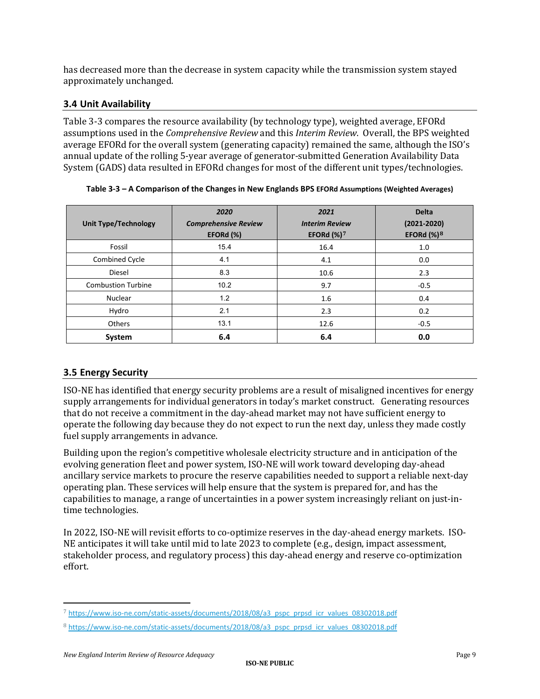has decreased more than the decrease in system capacity while the transmission system stayed approximately unchanged.

#### **3.4 Unit Availability**

Table 3-3 compares the resource availability (by technology type), weighted average, EFORd assumptions used in the *Comprehensive Review* and this *Interim Review*. Overall, the BPS weighted average EFORd for the overall system (generating capacity) remained the same, although the ISO's annual update of the rolling 5-year average of generator-submitted Generation Availability Data System (GADS) data resulted in EFORd changes for most of the different unit types/technologies.

| <b>Unit Type/Technology</b> | 2020<br><b>Comprehensive Review</b><br>EFORd (%) | 2021<br><b>Interim Review</b><br>EFORd $(\%)^7$ | <b>Delta</b><br>$(2021 - 2020)$<br>EFORd $(\%)^8$ |  |
|-----------------------------|--------------------------------------------------|-------------------------------------------------|---------------------------------------------------|--|
| Fossil                      | 15.4                                             | 16.4                                            | 1.0                                               |  |
| Combined Cycle              | 4.1                                              | 4.1                                             | 0.0                                               |  |
| Diesel                      | 8.3                                              | 10.6                                            | 2.3                                               |  |
| <b>Combustion Turbine</b>   | 10.2                                             | 9.7                                             | $-0.5$                                            |  |
| <b>Nuclear</b>              | 1.2                                              | 1.6                                             | 0.4                                               |  |
| Hydro                       | 2.1                                              | 2.3                                             | 0.2                                               |  |
| <b>Others</b>               | 13.1                                             | 12.6                                            | $-0.5$                                            |  |
| System                      | 6.4                                              | 6.4                                             | 0.0                                               |  |

**Table 3-3 – A Comparison of the Changes in New Englands BPS EFORd Assumptions (Weighted Averages)**

#### **3.5 Energy Security**

ISO-NE has identified that energy security problems are a result of misaligned incentives for energy supply arrangements for individual generators in today's market construct. Generating resources that do not receive a commitment in the day-ahead market may not have sufficient energy to operate the following day because they do not expect to run the next day, unless they made costly fuel supply arrangements in advance.

Building upon the region's competitive wholesale electricity structure and in anticipation of the evolving generation fleet and power system, ISO-NE will work toward developing day-ahead ancillary service markets to procure the reserve capabilities needed to support a reliable next-day operating plan. These services will help ensure that the system is prepared for, and has the capabilities to manage, a range of uncertainties in a power system increasingly reliant on just-intime technologies.

In 2022, ISO-NE will revisit efforts to co-optimize reserves in the day-ahead energy markets. ISO-NE anticipates it will take until mid to late 2023 to complete (e.g., design, impact assessment, stakeholder process, and regulatory process) this day-ahead energy and reserve co-optimization effort.

<span id="page-8-0"></span><sup>7</sup> [https://www.iso-ne.com/static-assets/documents/2018/08/a3\\_pspc\\_prpsd\\_icr\\_values\\_08302018.pdf](https://www.iso-ne.com/static-assets/documents/2018/08/a3_pspc_prpsd_icr_values_08302018.pdf)

<span id="page-8-1"></span><sup>8</sup> [https://www.iso-ne.com/static-assets/documents/2018/08/a3\\_pspc\\_prpsd\\_icr\\_values\\_08302018.pdf](https://www.iso-ne.com/static-assets/documents/2018/08/a3_pspc_prpsd_icr_values_08302018.pdf)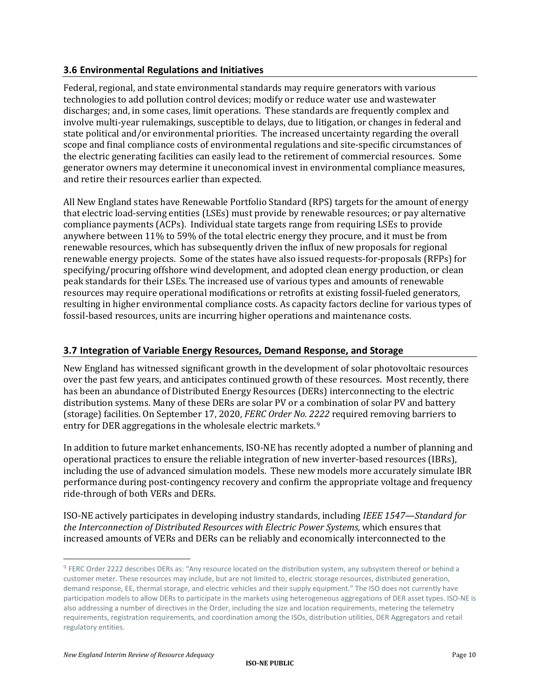#### **3.6 Environmental Regulations and Initiatives**

Federal, regional, and state environmental standards may require generators with various technologies to add pollution control devices; modify or reduce water use and wastewater discharges; and, in some cases, limit operations. These standards are frequently complex and involve multi-year rulemakings, susceptible to delays, due to litigation, or changes in federal and state political and/or environmental priorities. The increased uncertainty regarding the overall scope and final compliance costs of environmental regulations and site-specific circumstances of the electric generating facilities can easily lead to the retirement of commercial resources. Some generator owners may determine it uneconomical invest in environmental compliance measures, and retire their resources earlier than expected.

All New England states have Renewable Portfolio Standard (RPS) targets for the amount of energy that electric load-serving entities (LSEs) must provide by renewable resources; or pay alternative compliance payments (ACPs). Individual state targets range from requiring LSEs to provide anywhere between 11% to 59% of the total electric energy they procure, and it must be from renewable resources, which has subsequently driven the influx of new proposals for regional renewable energy projects. Some of the states have also issued requests-for-proposals (RFPs) for specifying/procuring offshore wind development, and adopted clean energy production, or clean peak standards for their LSEs. The increased use of various types and amounts of renewable resources may require operational modifications or retrofits at existing fossil-fueled generators, resulting in higher environmental compliance costs. As capacity factors decline for various types of fossil-based resources, units are incurring higher operations and maintenance costs.

#### **3.7 Integration of Variable Energy Resources, Demand Response, and Storage**

New England has witnessed significant growth in the development of solar photovoltaic resources over the past few years, and anticipates continued growth of these resources. Most recently, there has been an abundance of Distributed Energy Resources (DERs) interconnecting to the electric distribution systems. Many of these DERs are solar PV or a combination of solar PV and battery (storage) facilities. On September 17, 2020, *FERC [Order No. 2222](https://www.iso-ne.com/committees/key-projects/order-no-2222-key-project)* required removing barriers to entry for DER aggregations in the wholesale electric markets.<sup>[9](#page-9-0)</sup>

In addition to future market enhancements, ISO-NE has recently adopted a number of planning and operational practices to ensure the reliable integration of new inverter-based resources (IBRs), including the use of advanced simulation models. These new models more accurately simulate IBR performance during post-contingency recovery and confirm the appropriate voltage and frequency ride-through of both VERs and DERs.

ISO-NE actively participates in developing industry standards, including *[IEEE 1547—](https://standards.ieee.org/standard/1547-2018.html)Standard for the Interconnection of Distributed Resources with Electric Power Systems,* which ensures that increased amounts of VERs and DERs can be reliably and economically interconnected to the

<span id="page-9-0"></span><sup>9</sup> FERC Order 2222 describes DERs as: "Any resource located on the distribution system, any subsystem thereof or behind a customer meter. These resources may include, but are not limited to, electric storage resources, distributed generation, demand response, EE, thermal storage, and electric vehicles and their supply equipment." The ISO does not currently have participation models to allow DERs to participate in the markets using heterogeneous aggregations of DER asset types. ISO-NE is also addressing a number of directives in the Order, including the size and location requirements, metering the telemetry requirements, registration requirements, and coordination among the ISOs, distribution utilities, DER Aggregators and retail regulatory entities.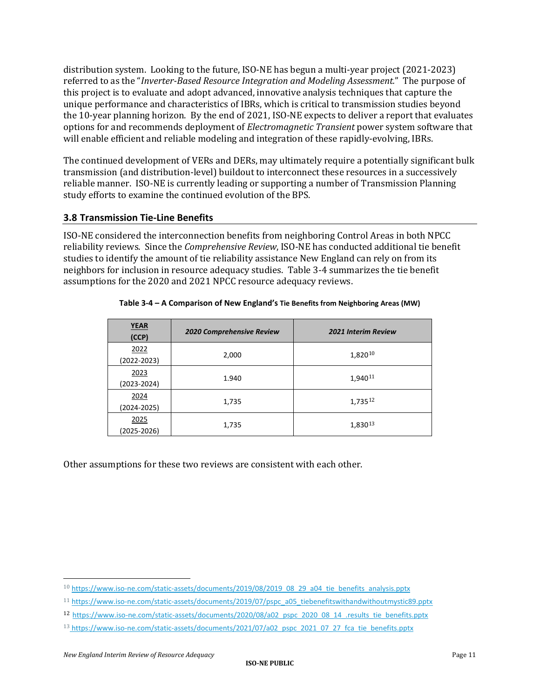distribution system. Looking to the future, ISO-NE has begun a multi-year project (2021-2023) referred to as the "*Inverter-Based Resource Integration and Modeling Assessment.*" The purpose of this project is to evaluate and adopt advanced, innovative analysis techniques that capture the unique performance and characteristics of IBRs, which is critical to transmission studies beyond the 10-year planning horizon. By the end of 2021, ISO-NE expects to deliver a report that evaluates options for and recommends deployment of *Electromagnetic Transient* power system software that will enable efficient and reliable modeling and integration of these rapidly-evolving, IBRs.

The continued development of VERs and DERs, may ultimately require a potentially significant bulk transmission (and distribution-level) buildout to interconnect these resources in a successively reliable manner. ISO-NE is currently leading or supporting a number of Transmission Planning study efforts to examine the continued evolution of the BPS.

#### **3.8 Transmission Tie-Line Benefits**

ISO-NE considered the interconnection benefits from neighboring Control Areas in both NPCC reliability reviews. Since the *Comprehensive Review*, ISO-NE has conducted additional tie benefit studies to identify the amount of tie reliability assistance New England can rely on from its neighbors for inclusion in resource adequacy studies. Table 3-4 summarizes the tie benefit assumptions for the 2020 and 2021 NPCC resource adequacy reviews.

| <b>YEAR</b><br>(CCP)    | 2020 Comprehensive Review | <b>2021 Interim Review</b> |
|-------------------------|---------------------------|----------------------------|
| 2022<br>(2022-2023)     | 2,000                     | 1,82010                    |
| 2023<br>$(2023 - 2024)$ | 1.940                     | 1,940 <sup>11</sup>        |
| 2024<br>$(2024 - 2025)$ | 1,735                     | 1,73512                    |
| 2025<br>(2025-2026)     | 1,735                     | 1,83013                    |

#### **Table 3-4 – A Comparison of New England's Tie Benefits from Neighboring Areas (MW)**

Other assumptions for these two reviews are consistent with each other.

<span id="page-10-0"></span><sup>10</sup> [https://www.iso-ne.com/static-assets/documents/2019/08/2019\\_08\\_29\\_a04\\_tie\\_benefits\\_analysis.pptx](https://www.iso-ne.com/static-assets/documents/2019/08/2019_08_29_a04_tie_benefits_analysis.pptx)

<span id="page-10-1"></span><sup>11</sup> [https://www.iso-ne.com/static-assets/documents/2019/07/pspc\\_a05\\_tiebenefitswithandwithoutmystic89.pptx](https://www.iso-ne.com/static-assets/documents/2019/07/pspc_a05_tiebenefitswithandwithoutmystic89.pptx)

<span id="page-10-2"></span><sup>12</sup> [https://www.iso-ne.com/static-assets/documents/2020/08/a02\\_pspc\\_2020\\_08\\_14\\_.results\\_tie\\_benefits.pptx](https://www.iso-ne.com/static-assets/documents/2020/08/a02_pspc_2020_08_14_.results_tie_benefits.pptx)

<span id="page-10-3"></span><sup>13</sup> [https://www.iso-ne.com/static-assets/documents/2021/07/a02\\_pspc\\_2021\\_07\\_27\\_fca\\_tie\\_benefits.pptx](https://www.iso-ne.com/static-assets/documents/2021/07/a02_pspc_2021_07_27_fca_tie_benefits.pptx)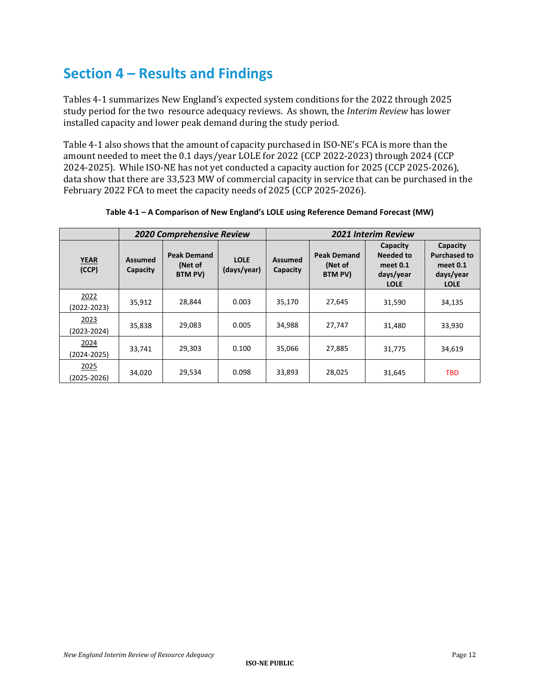## **Section 4 – Results and Findings**

Tables 4-1 summarizes New England's expected system conditions for the 2022 through 2025 study period for the two resource adequacy reviews. As shown, the *Interim Review* has lower installed capacity and lower peak demand during the study period.

Table 4-1 also shows that the amount of capacity purchased in ISO-NE's FCA is more than the amount needed to meet the 0.1 days/year LOLE for 2022 (CCP 2022-2023) through 2024 (CCP 2024-2025). While ISO-NE has not yet conducted a capacity auction for 2025 (CCP 2025-2026), data show that there are 33,523 MW of commercial capacity in service that can be purchased in the February 2022 FCA to meet the capacity needs of 2025 (CCP 2025-2026).

|                         |                            | <b>2020 Comprehensive Review</b>         |                            | <b>2021 Interim Review</b> |                                          |                                                               |                                                                         |  |
|-------------------------|----------------------------|------------------------------------------|----------------------------|----------------------------|------------------------------------------|---------------------------------------------------------------|-------------------------------------------------------------------------|--|
| <b>YEAR</b><br>(CCP)    | <b>Assumed</b><br>Capacity | <b>Peak Demand</b><br>(Net of<br>BTM PV) | <b>LOLE</b><br>(days/year) | Assumed<br>Capacity        | <b>Peak Demand</b><br>(Net of<br>BTM PV) | Capacity<br>Needed to<br>meet 0.1<br>days/year<br><b>LOLE</b> | Capacity<br><b>Purchased to</b><br>meet 0.1<br>days/year<br><b>LOLE</b> |  |
| 2022<br>$(2022 - 2023)$ | 35,912                     | 28,844                                   | 0.003                      | 35,170                     | 27,645                                   | 31,590                                                        | 34,135                                                                  |  |
| 2023<br>$(2023 - 2024)$ | 35,838                     | 29,083                                   | 0.005                      | 34,988                     | 27,747                                   | 31,480                                                        | 33,930                                                                  |  |
| 2024<br>(2024-2025)     | 33,741                     | 29,303                                   | 0.100                      | 35,066                     | 27,885                                   | 31,775                                                        | 34,619                                                                  |  |
| 2025<br>(2025-2026)     | 34,020                     | 29,534                                   | 0.098                      | 33,893                     | 28,025                                   | 31,645                                                        | <b>TBD</b>                                                              |  |

**Table 4-1 – A Comparison of New England's LOLE using Reference Demand Forecast (MW)**